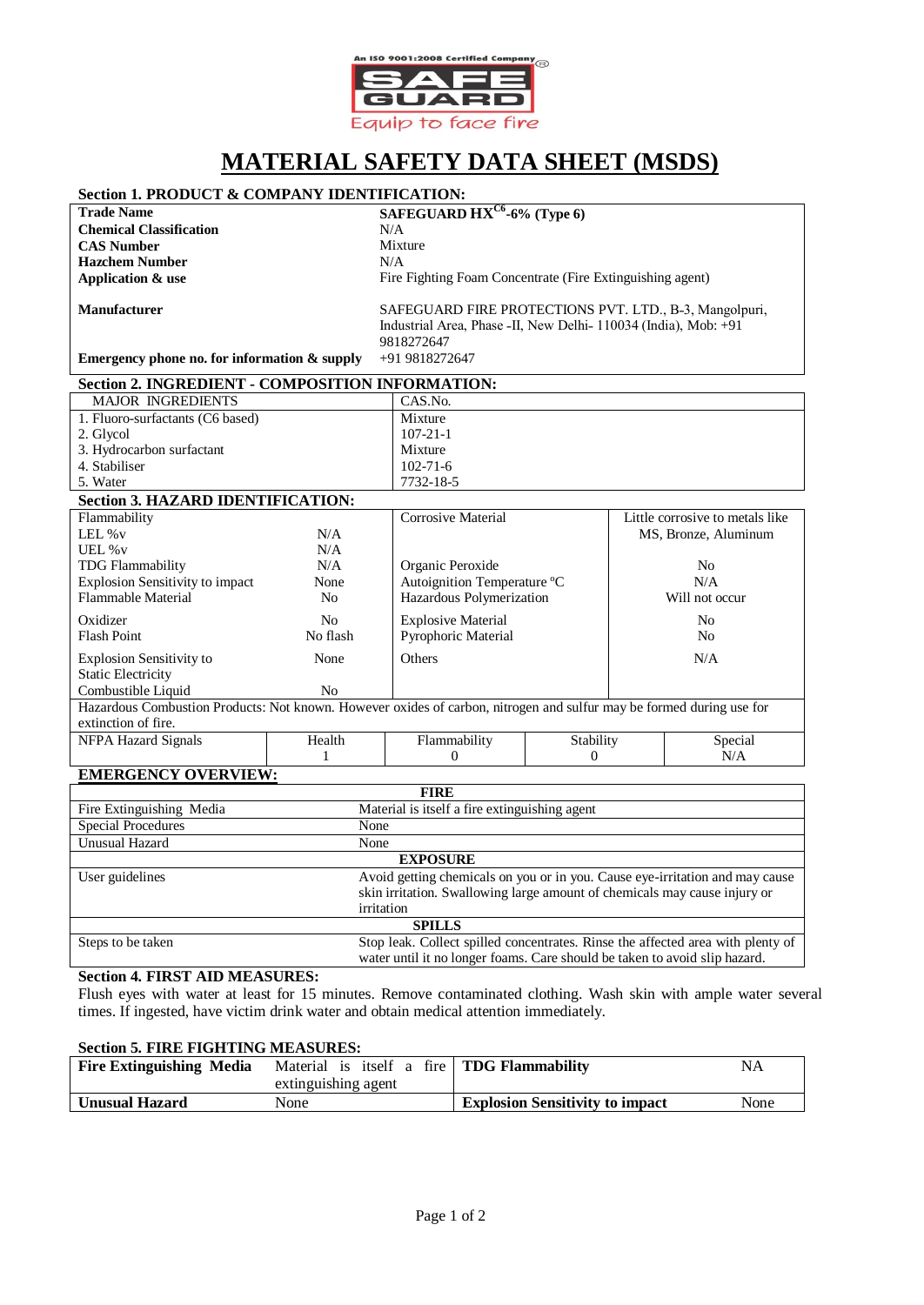

# **MATERIAL SAFETY DATA SHEET (MSDS)**

# **Section 1. PRODUCT & COMPANY IDENTIFICATION:**

**Chemical Classification** N/A **CAS Number** Mixture<br> **Hazchem Number** N/A **Hazchem Number Application & use**

**Trade Name SAFEGUARD HXC6 -6% (Type 6)**

Fire Fighting Foam Concentrate (Fire Extinguishing agent)

**Manufacturer**

5. Water

SAFEGUARD FIRE PROTECTIONS PVT. LTD., B-3, Mangolpuri, Industrial Area, Phase -II, New Delhi- 110034 (India), Mob: +91 9818272647 +91 9818272647

**Emergency phone no. for information & supply**

| Section 2. INGREDIENT - COMPOSITION INFORMATION: |                |  |
|--------------------------------------------------|----------------|--|
| <b>MAJOR INGREDIENTS</b>                         | CAS.No.        |  |
| 1. Fluoro-surfactants (C6 based)                 | Mixture        |  |
| 2. Glycol                                        | $107 - 21 - 1$ |  |
| 3. Hydrocarbon surfactant                        | Mixture        |  |
| 4. Stabiliser                                    | $102 - 71 - 6$ |  |

7732-18-5

| <b>Section 3. HAZARD IDENTIFICATION:</b>                                                                             |          |                             |           |                                 |
|----------------------------------------------------------------------------------------------------------------------|----------|-----------------------------|-----------|---------------------------------|
| Flammability                                                                                                         |          | Corrosive Material          |           | Little corrosive to metals like |
| LEL $\%v$                                                                                                            | N/A      |                             |           | MS, Bronze, Aluminum            |
| UEL $\%$ v                                                                                                           | N/A      |                             |           |                                 |
| TDG Flammability                                                                                                     | N/A      | Organic Peroxide            |           | No.                             |
| <b>Explosion Sensitivity to impact</b>                                                                               | None     | Autoignition Temperature °C |           | N/A                             |
| <b>Flammable Material</b>                                                                                            | No.      | Hazardous Polymerization    |           | Will not occur                  |
| Oxidizer                                                                                                             | No       | <b>Explosive Material</b>   |           | No.                             |
| <b>Flash Point</b>                                                                                                   | No flash | Pyrophoric Material         |           | No.                             |
| <b>Explosion Sensitivity to</b>                                                                                      | None     | <b>Others</b>               |           | N/A                             |
| <b>Static Electricity</b>                                                                                            |          |                             |           |                                 |
| Combustible Liquid                                                                                                   | No       |                             |           |                                 |
| Hazardous Combustion Products: Not known. However oxides of carbon, nitrogen and sulfur may be formed during use for |          |                             |           |                                 |
| extinction of fire.                                                                                                  |          |                             |           |                                 |
| NFPA Hazard Signals                                                                                                  | Health   | Flammability                | Stability | Special                         |
|                                                                                                                      |          | 0                           | $\Omega$  | N/A                             |

# **EMERGENCY OVERVIEW:**

| <b>FIRE</b>               |                                                                                 |  |
|---------------------------|---------------------------------------------------------------------------------|--|
| Fire Extinguishing Media  | Material is itself a fire extinguishing agent                                   |  |
| <b>Special Procedures</b> | None                                                                            |  |
| Unusual Hazard            | None                                                                            |  |
| <b>EXPOSURE</b>           |                                                                                 |  |
| User guidelines           | Avoid getting chemicals on you or in you. Cause eye-irritation and may cause    |  |
|                           | skin irritation. Swallowing large amount of chemicals may cause injury or       |  |
|                           | irritation                                                                      |  |
| <b>SPILLS</b>             |                                                                                 |  |
| Steps to be taken         | Stop leak. Collect spilled concentrates. Rinse the affected area with plenty of |  |
|                           | water until it no longer foams. Care should be taken to avoid slip hazard.      |  |

# **Section 4. FIRST AID MEASURES:**

Flush eyes with water at least for 15 minutes. Remove contaminated clothing. Wash skin with ample water several times. If ingested, have victim drink water and obtain medical attention immediately.

#### **Section 5. FIRE FIGHTING MEASURES:**

| <b>Fire Extinguishing Media</b> | Material is itself a fire   <b>TDG Flammability</b><br>extinguishing agent |                                        | <b>NA</b> |
|---------------------------------|----------------------------------------------------------------------------|----------------------------------------|-----------|
| <b>Unusual Hazard</b>           | None                                                                       | <b>Explosion Sensitivity to impact</b> | None      |